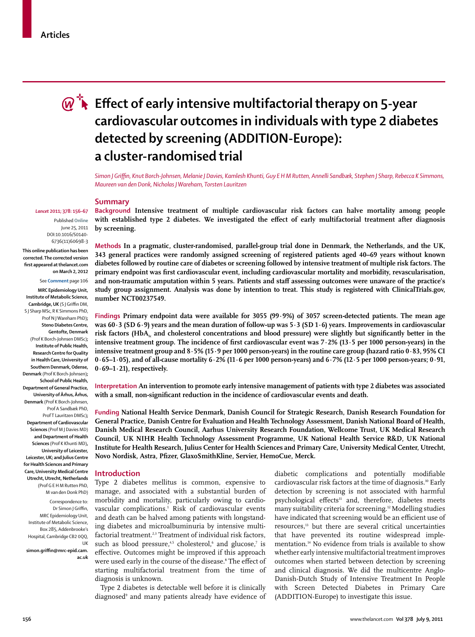# $\mathbb{R}^n$  **Effect of early intensive multifactorial therapy on 5-year cardiovascular outcomes in individuals with type 2 diabetes detected by screening (ADDITION-Europe): a cluster-randomised trial**

*Simon J Griffi n, Knut Borch-Johnsen, Melanie J Davies, Kamlesh Khunti, Guy E H M Rutten, Annelli Sandbæk, Stephen J Sharp, Rebecca K Simmons, Maureen van den Donk, Nicholas J Wareham, Torsten Lauritzen*

### **Summary**

*Lancet* **2011; 378: 156–67** Published **Online** June 25, 2011 DOI:10.1016/S0140- 6736(11)60698-3

**This online publication has been corrected. The corrected version fi rst appeared at thelancet.com on March 2, 2012**

See **Comment** page 106

**MRC Epidemiology Unit, Institute of Metabolic Science, Cambridge, UK (S I Griffin DM,** S J Sharp MSc, R K Simmons PhD, Prof N J Wareham PhD)**; Steno Diabetes Centre, Gentofte, Denmark** (Prof K Borch-Johnsen DMSc)**; Institute of Public Health, Research Centre for Quality in Health Care, University of Southern Denmark, Odense, Denmark** (Prof K Borch-Johnsen)**; School of Public Health, Department of General Practice, University of Århus, Århus, Denmark** (Prof K Borch-Johnsen, Prof A Sandbæk PhD, Prof T Lauritzen DMSc)**; Department of Cardiovascular Sciences** (Prof M J Davies MD) **and Department of Health Sciences** (Prof K Khunti MD)**, University of Leicester, Leicester, UK; and Julius Centre for Health Sciences and Primary Care, University Medical Centre Utrecht, Utrecht, Netherlands** (Prof G E H M Rutten PhD,

M van den Donk PhD) Correspondence to: Dr Simon I Griffin. MRC Epidemiology Unit, Institute of Metabolic Science, Box 285, Addenbrooke's Hospital, Cambridge CB2 0QQ, UK

**simon.griffi n@mrc-epid.cam. ac.uk** **Background Intensive treatment of multiple cardiovascular risk factors can halve mortality among people**  with established type 2 diabetes. We investigated the effect of early multifactorial treatment after diagnosis **by screening.** 

**Methods In a pragmatic, cluster-randomised, parallel-group trial done in Denmark, the Netherlands, and the UK, 343 general practices were randomly assigned screening of registered patients aged 40–69 years without known diabetes followed by routine care of diabetes or screening followed by intensive treatment of multiple risk factors. The**  primary endpoint was first cardiovascular event, including cardiovascular mortality and morbidity, revascularisation, **and non-traumatic amputation within 5 years. Patients and staff assessing outcomes were unaware of the practice's study group assignment. Analysis was done by intention to treat. This study is registered with ClinicalTrials.gov, number NCT00237549.**

**Findings Primary endpoint data were available for 3055 (99·9%) of 3057 screen-detected patients. The mean age was 60·3 (SD 6·9) years and the mean duration of follow-up was 5·3 (SD 1·6) years. Improvements in cardiovascular**  risk factors (HbA<sub>1c</sub> and cholesterol concentrations and blood pressure) were slightly but significantly better in the intensive treatment group. The incidence of first cardiovascular event was 7.2% (13.5 per 1000 person-years) in the **intensive treatment group and 8·5% (15·9 per 1000 person-years) in the routine care group (hazard ratio 0·83, 95% CI 0·65–1·05), and of all-cause mortality 6·2% (11·6 per 1000 person-years) and 6·7% (12·5 per 1000 person-years; 0·91, 0·69–1·21), respectively.**

**Interpretation An intervention to promote early intensive management of patients with type 2 diabetes was associated**  with a small, non-significant reduction in the incidence of cardiovascular events and death.

**Funding National Health Service Denmark, Danish Council for Strategic Research, Danish Research Foundation for General Practice, Danish Centre for Evaluation and Health Technology Assessment, Danish National Board of Health, Danish Medical Research Council, Aarhus University Research Foundation, Wellcome Trust, UK Medical Research Council, UK NIHR Health Technology Assessment Programme, UK National Health Service R&D, UK National Institute for Health Research, Julius Center for Health Sciences and Primary Care, University Medical Center, Utrecht,**  Novo Nordisk, Astra, Pfizer, GlaxoSmithKline, Servier, HemoCue, Merck.

## **Introduction**

Type 2 diabetes mellitus is common, expensive to manage, and associated with a substantial burden of morbidity and mortality, particularly owing to cardiovascular com plications.1 Risk of cardiovascular events and death can be halved among patients with longstanding diabetes and microalbuminuria by intensive multifactorial treatment.<sup>2,3</sup> Treatment of individual risk factors, such as blood pressure,<sup>4,5</sup> cholesterol,<sup>6</sup> and glucose,<sup>7</sup> is effective. Outcomes might be improved if this approach were used early in the course of the disease.<sup>8</sup> The effect of starting multifactorial treatment from the time of diagnosis is unknown.

Type 2 diabetes is detectable well before it is clinically diagnosed9 and many patients already have evidence of diabetic complications and potentially modifiable cardiovascular risk factors at the time of diagnosis.10 Early detection by screening is not associated with harmful psychological effects<sup>11</sup> and, therefore, diabetes meets many suitability criteria for screening.12 Modelling studies have indicated that screening would be an efficient use of resources,13 but there are several critical uncertainties that have prevented its routine widespread implementation.14 No evidence from trials is available to show whether early intensive multifactorial treatment improves outcomes when started between detection by screening and clinical diagnosis. We did the multicentre Anglo-Danish-Dutch Study of Intensive Treatment In People with Screen Detected Diabetes in Primary Care (ADDITION-Europe) to investigate this issue.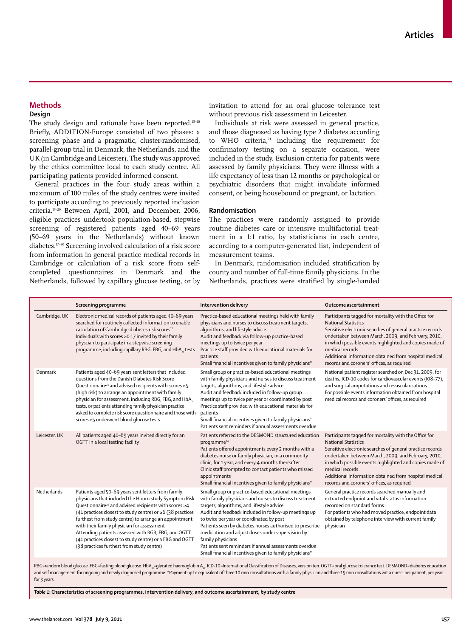# **Methods**

# **Design**

The study design and rationale have been reported.<sup>15-18</sup> Briefly, ADDITION-Europe consisted of two phases: a screening phase and a pragmatic, cluster-randomised, parallel-group trial in Denmark, the Netherlands, and the UK (in Cambridge and Leicester). The study was approved by the ethics committee local to each study centre. All participating patients provided informed consent.

General practices in the four study areas within a maximum of 100 miles of the study centres were invited to participate according to previously reported inclusion criteria.<sup>17-20</sup> Between April, 2001, and December, 2006, eligible practices undertook population-based, stepwise screening of registered patients aged 40–69 years (50–69 years in the Netherlands) without known diabetes.<sup>17-20</sup> Screening involved calculation of a risk score from information in general practice medical records in Cambridge or calculation of a risk score from selfcompleted questionnaires in Denmark and the Netherlands, followed by capillary glucose testing, or by invitation to attend for an oral glucose tolerance test without previous risk assessment in Leicester.

Individuals at risk were assessed in general practice, and those diagnosed as having type 2 diabetes according to WHO criteria, $21$  including the requirement for confirmatory testing on a separate occasion, were included in the study. Exclusion criteria for patients were assessed by family physicians. They were illness with a life expectancy of less than 12 months or psychological or psychiatric disorders that might invalidate informed consent, or being housebound or pregnant, or lactation.

## **Randomisation**

The practices were randomly assigned to provide routine diabetes care or intensive multifactorial treatment in a 1:1 ratio, by statisticians in each centre, according to a computer-generated list, independent of measurement teams.

In Denmark, randomisation included stratification by county and number of full-time family physicians. In the Netherlands, practices were stratified by single-handed

|                                                                                                                                                                                                                                                                                                                                    | <b>Screening programme</b>                                                                                                                                                                                                                                                                                                                                                                                                                                                                                            | <b>Intervention delivery</b>                                                                                                                                                                                                                                                                                                                                                                                                                                                                                          | Outcome ascertainment                                                                                                                                                                                                                                                                                                                                                                        |  |  |  |  |  |
|------------------------------------------------------------------------------------------------------------------------------------------------------------------------------------------------------------------------------------------------------------------------------------------------------------------------------------|-----------------------------------------------------------------------------------------------------------------------------------------------------------------------------------------------------------------------------------------------------------------------------------------------------------------------------------------------------------------------------------------------------------------------------------------------------------------------------------------------------------------------|-----------------------------------------------------------------------------------------------------------------------------------------------------------------------------------------------------------------------------------------------------------------------------------------------------------------------------------------------------------------------------------------------------------------------------------------------------------------------------------------------------------------------|----------------------------------------------------------------------------------------------------------------------------------------------------------------------------------------------------------------------------------------------------------------------------------------------------------------------------------------------------------------------------------------------|--|--|--|--|--|
| Cambridge, UK                                                                                                                                                                                                                                                                                                                      | Electronic medical records of patients aged 40-69 years<br>searched for routinely collected information to enable<br>calculation of Cambridge diabetes risk scores <sup>22</sup><br>Individuals with scores ≥0.17 invited by their family<br>physcian to participate in a stepwise screening<br>programme, including capillary RBG, FBG, and HbA, tests                                                                                                                                                               | Practice-based educational meetings held with family<br>physicians and nurses to discuss treatment targets,<br>algorithms, and lifestyle advice<br>Audit and feedback via follow-up practice-based<br>meetings up to twice per year<br>Practice staff provided with educational materials for<br>patients<br>Small financial incentives given to family physicians*                                                                                                                                                   | Participants tagged for mortality with the Office for<br><b>National Statistics</b><br>Sensitive electronic searches of general practice records<br>undertaken between March, 2009, and February, 2010,<br>in which possible events highlighted and copies made of<br>medical records<br>Additional information obtained from hospital medical<br>records and coroners' offices, as required |  |  |  |  |  |
| Denmark                                                                                                                                                                                                                                                                                                                            | Patients aged 40-69 years sent letters that included<br>questions from the Danish Diabetes Risk Score<br>Questionnaire <sup>23</sup> and advised recipients with scores $\geq 5$<br>(high risk) to arrange an appointment with family<br>physician for assessment, including RBG, FBG, and HbA,<br>tests, or patients attending family physician practice<br>asked to complete risk score questionnaire and those with<br>scores ≥5 underwent blood qlucose tests                                                     | Small group or practice-based educational meetings<br>with family physicians and nurses to discuss treatment<br>targets, algorithms, and lifestyle advice<br>Audit and feedback included in follow-up group<br>meetings up to twice per year or coordinated by post<br>Practice staff provided with educational materials for<br>patients<br>Small financial incentives given to family physicians*<br>Patients sent reminders if annual assessments overdue                                                          | National patient register searched on Dec 31, 2009, for<br>deaths, ICD-10 codes for cardiovascular events (I08-77),<br>and surgical amputations and revascularisations.<br>For possible events information obtained from hospital<br>medical records and coroners' offices, as required                                                                                                      |  |  |  |  |  |
| Leicester, UK                                                                                                                                                                                                                                                                                                                      | All patients aged 40-69 years invited directly for an<br>OGTT in a local testing facility                                                                                                                                                                                                                                                                                                                                                                                                                             | Patients referred to the DESMOND structured education<br>programme <sup>24</sup><br>Patients offered appointments every 2 months with a<br>diabetes nurse or family physician, in a community<br>clinic, for 1 year, and every 4 months thereafter<br>Clinic staff prompted to contact patients who missed<br>appointments<br>Small financial incentives given to family physicians*                                                                                                                                  | Participants tagged for mortality with the Office for<br><b>National Statistics</b><br>Sensitive electronic searches of general practice records<br>undertaken between March, 2009, and February, 2010,<br>in which possible events highlighted and copies made of<br>medical records<br>Additional information obtained from hospital medical<br>records and coroners' offices, as required |  |  |  |  |  |
| Netherlands                                                                                                                                                                                                                                                                                                                        | Patients aged 50-69 years sent letters from family<br>physicians that included the Hoorn study Symptom Risk<br>Questionnaire <sup>25</sup> and advised recipients with scores ≥4<br>(41 practices closest to study centre) or ≥6 (38 practices<br>furthest from study centre) to arrange an appointment<br>with their family physician for assessment<br>Attending patients assessed with RGB, FBG, and OGTT<br>(41 practices closest to study centre) or a FBG and OGTT<br>(38 practices furthest from study centre) | Small group or practice-based educational meetings<br>with family physicians and nurses to discuss treatment<br>targets, algorithms, and lifestyle advice<br>Audit and feedback included in follow-up meetings up<br>to twice per year or coordinated by post<br>Patients seen by diabetes nurses authorised to prescribe<br>medication and adjust doses under supervision by<br>family physicians<br>Patients sent reminders if annual assessments overdue<br>Small financial incentives given to family physicians* | General practice records searched manually and<br>extracted endpoint and vital status information<br>recorded on standard forms<br>For patients who had moved practice, endpoint data<br>obtained by telephone interview with current family<br>physician                                                                                                                                    |  |  |  |  |  |
| $1CD, 40$ let us the selection of $\frac{1}{2}$ and $\frac{1}{2}$ $\frac{1}{2}$ $\frac{1}{2}$ $\frac{1}{2}$ $\frac{1}{2}$ $\frac{1}{2}$ $\frac{1}{2}$ $\frac{1}{2}$ $\frac{1}{2}$ $\frac{1}{2}$ $\frac{1}{2}$ $\frac{1}{2}$ $\frac{1}{2}$ $\frac{1}{2}$ $\frac{1}{2}$ $\frac{1}{2}$ $\frac{1}{2}$ $\frac{$<br>A DECMONID distances |                                                                                                                                                                                                                                                                                                                                                                                                                                                                                                                       |                                                                                                                                                                                                                                                                                                                                                                                                                                                                                                                       |                                                                                                                                                                                                                                                                                                                                                                                              |  |  |  |  |  |

RBG=random blood glucose. FBG=fasting blood glucose. HbA<sub>1s</sub>=glycated haemoglobin A<sub>1c</sub>. ICD-10=International Classification of Diseases, version ten. OGTT=oral glucose tolerance test. DESMOND=diabetes education and self management for ongoing and newly diagnosed programme. \*Payment up to equivalent of three 10 min consultations with a family physician and three 15 min consultations wit a nurse, per patient, per year, for 3 years.

*Table 1***: Characteristics of screening programmes, intervention delivery, and outcome ascertainment, by study centre**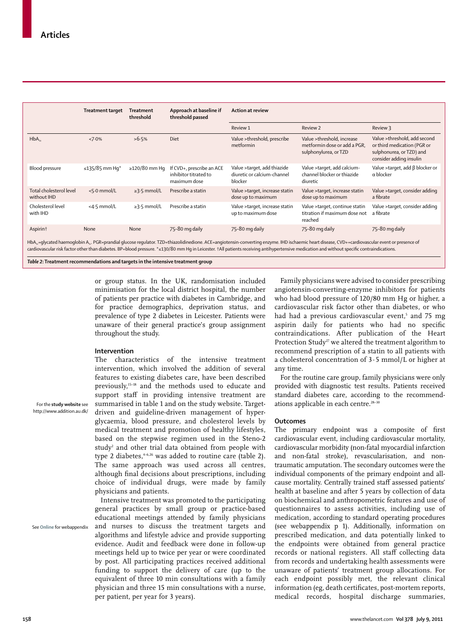|                                                                                                                                                                                                                                                                                                                                                                                                                         | <b>Treatment target</b>          | <b>Treatment</b><br>threshold | Approach at baseline if<br>threshold passed                        | <b>Action at review</b>                                               |                                                                                     |                                                                                                                    |  |  |
|-------------------------------------------------------------------------------------------------------------------------------------------------------------------------------------------------------------------------------------------------------------------------------------------------------------------------------------------------------------------------------------------------------------------------|----------------------------------|-------------------------------|--------------------------------------------------------------------|-----------------------------------------------------------------------|-------------------------------------------------------------------------------------|--------------------------------------------------------------------------------------------------------------------|--|--|
|                                                                                                                                                                                                                                                                                                                                                                                                                         |                                  |                               |                                                                    | Review 1                                                              | Review 2                                                                            | Review 3                                                                                                           |  |  |
| $HbA_{1c}$                                                                                                                                                                                                                                                                                                                                                                                                              | <7.0%                            | >6.5%                         | <b>Diet</b>                                                        | Value >threshold, prescribe<br>metformin                              | Value >threshold, increase<br>metformin dose or add a PGR,<br>sulphonylurea, or TZD | Value >threshold, add second<br>or third medication (PGR or<br>sulphonurea, or TZD) and<br>consider adding insulin |  |  |
| Blood pressure                                                                                                                                                                                                                                                                                                                                                                                                          | $\leq$ 135/85 mm Hq <sup>*</sup> | $\geq$ 120/80 mm Hq           | If CVD+, prescribe an ACE<br>inhibitor titrated to<br>maximum dose | Value >target, add thiazide<br>diuretic or calcium-channel<br>blocker | Value >target, add calcium-<br>channel blocker or thiazide<br>diuretic              | Value >target, add $\beta$ blocker or<br>$\alpha$ blocker                                                          |  |  |
| Total cholesterol level<br>without IHD                                                                                                                                                                                                                                                                                                                                                                                  | <5.0 mmol/L                      | $\geq$ 3.5 mmol/L             | Prescribe a statin                                                 | Value >target, increase statin<br>dose up to maximum                  | Value >target, increase statin<br>dose up to maximum                                | Value >target, consider adding<br>a fibrate                                                                        |  |  |
| Cholesterol level<br>with IHD                                                                                                                                                                                                                                                                                                                                                                                           | <4.5 mmol/L                      | $\geq$ 3.5 mmol/L             | Prescribe a statin                                                 | Value >target, increase statin<br>up to maximum dose                  | Value >target, continue statin<br>titration if maximum dose not<br>reached          | Value >target, consider adding<br>a fibrate                                                                        |  |  |
| Aspirint                                                                                                                                                                                                                                                                                                                                                                                                                | None                             | None                          | 75-80 mg daily                                                     | 75-80 mg daily                                                        | 75-80 mg daily                                                                      | 75-80 mg daily                                                                                                     |  |  |
| HbA <sub>v</sub> =qlycated haemoqlobin A <sub>1</sub> ,. PGR=prandial qlucose requlator. TZD=thiazolidinedione. ACE=angiotensin-converting enzyme. IHD ischaemic heart disease, CVD+=cardiovascular event or presence of<br>cardiovascular risk factor other than diabetes. BP=blood pressure. *≤130/80 mm Hq in Leicester. †All patients receiving antihypertensive medication and without specific contraindications. |                                  |                               |                                                                    |                                                                       |                                                                                     |                                                                                                                    |  |  |

*Table 2***: Treatment recommendations and targets in the intensive treatment group**

or group status. In the UK, randomisation included minimisation for the local district hospital, the number of patients per practice with diabetes in Cambridge, and for practice demographics, deprivation status, and prevalence of type 2 diabetes in Leicester. Patients were unaware of their general practice's group assignment throughout the study.

## **Intervention**

The characteristics of the intensive treatment intervention, which involved the addition of several features to existing diabetes care**,** have been described previously,15–18 and the methods used to educate and support staff in providing intensive treatment are summarised in table 1 and on the study website. Targetdriven and guideline-driven management of hyperglycaemia, blood pressure, and cholesterol levels by medical treatment and promotion of healthy lifestyles, based on the stepwise regimen used in the Steno-2 study<sup>2</sup> and other trial data obtained from people with type 2 diabetes, $4-6,26$  was added to routine care (table 2). The same approach was used across all centres, although final decisions about prescriptions, including choice of individual drugs, were made by family physicians and patients.

Intensive treatment was promoted to the participating general practices by small group or practice-based educational meetings attended by family physicians and nurses to discuss the treatment targets and algorithms and lifestyle advice and provide supporting evidence. Audit and feedback were done in follow-up meetings held up to twice per year or were coordinated by post. All participating practices received additional funding to support the delivery of care (up to the equivalent of three 10 min consultations with a family physician and three 15 min consultations with a nurse, per patient, per year for 3 years).

Family physicians were advised to consider prescribing angiotensin-converting-enzyme inhibitors for patients who had blood pressure of 120/80 mm Hg or higher, a cardiovascular risk factor other than diabetes, or who had had a previous cardiovascular event,<sup>5</sup> and 75 mg aspirin daily for patients who had no specific contraindications. After publication of the Heart Protection Study<sup> $x$ </sup> we altered the treatment algorithm to recommend prescription of a statin to all patients with a cholesterol concentration of 3·5 mmol/L or higher at any time.

For the routine care group, family physicians were only provided with diagnostic test results. Patients received standard diabetes care, according to the recommendations applicable in each centre.<sup>28–3</sup>

#### **Outcomes**

The primary endpoint was a composite of first cardiovascular event, including cardiovascular mortality, cardiovascular morbidity (non-fatal myocardial infarction and non-fatal stroke), revascularisation, and nontraumatic amputation. The secondary outcomes were the individual components of the primary endpoint and allcause mortality. Centrally trained staff assessed patients' health at baseline and after 5 years by collection of data on biochemical and anthropometric features and use of questionnaires to assess activities, including use of medication, according to standard operating procedures (see webappendix p 1). Additionally, information on prescribed medication, and data potentially linked to the endpoints were obtained from general practice records or national registers. All staff collecting data from records and undertaking health assessments were unaware of patients' treatment group allocations. For each endpoint possibly met, the relevant clinical information (eg, death certificates, post-mortem reports, medical records, hospital discharge summaries,

For the **study website** see http://www.addition.au.dk/

See **Online** for webappendix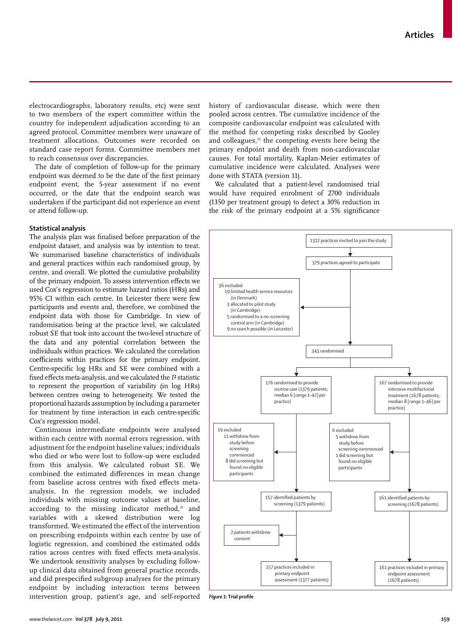electrocardiographs, laboratory results, etc) were sent to two members of the expert committee within the country for independent adjudication according to an agreed protocol. Committee members were unaware of treatment allocations. Outcomes were recorded on standard case report forms. Committee members met to reach consensus over discrepancies.

The date of completion of follow-up for the primary endpoint was deemed to be the date of the first primary endpoint event, the 5-year assessment if no event occurred, or the date that the endpoint search was undertaken if the participant did not experience an event or attend follow-up.

## **Statistical analysis**

The analysis plan was finalised before preparation of the endpoint dataset, and analysis was by intention to treat. We summarised baseline characteristics of individuals and general practices within each randomised group, by centre, and overall. We plotted the cumulative probability of the primary endpoint. To assess intervention effects we used Cox's regression to estimate hazard ratios (HRs) and 95% CI within each centre. In Leicester there were few participants and events and, therefore, we combined the endpoint data with those for Cambridge. In view of randomisation being at the practice level, we calculated robust SE that took into account the two-level structure of the data and any potential correlation between the individuals within practices. We calculated the correlation coefficients within practices for the primary endpoint. Centre-specific log HRs and SE were combined with a fi xed eff ects meta-analysis, and we calculated the *I*² statistic to represent the proportion of variability (in log HRs) between centres owing to heterogeneity. We tested the proportional hazards assumption by including a parameter for treatment by time interaction in each centre-specific Cox's regression model.

Continuous intermediate endpoints were analysed within each centre with normal errors regression, with adjustment for the endpoint baseline values; individuals who died or who were lost to follow-up were excluded from this analysis. We calculated robust SE. We combined the estimated differences in mean change from baseline across centres with fixed effects metaanalysis. In the regression models, we included individuals with missing outcome values at baseline, according to the missing indicator method, $31$  and variables with a skewed distribution were log transformed. We estimated the effect of the intervention on prescribing endpoints within each centre by use of logistic regression, and combined the estimated odds ratios across centres with fixed effects meta-analysis. We undertook sensitivity analyses by excluding followup clinical data obtained from general practice records, and did prespecified subgroup analyses for the primary endpoint by including interaction terms between intervention group, patient's age, and self-reported

history of cardiovascular disease, which were then pooled across centres. The cumulative incidence of the composite cardiovascular endpoint was calculated with the method for competing risks described by Gooley and colleagues,<sup>32</sup> the competing events here being the primary endpoint and death from non-cardiovascular causes. For total mortality, Kaplan-Meier estimates of cumulative incidence were calculated. Analyses were done with STATA (version 11).

We calculated that a patient-level randomised trial would have required enrolment of 2700 individuals (1350 per treatment group) to detect a 30% reduction in the risk of the primary endpoint at a 5% significance



**Figure 1: Trial profile**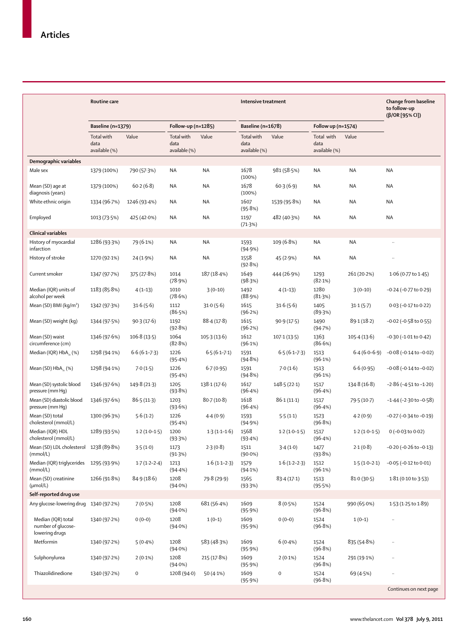|                                                            | Routine care                        |                  |                                     |                  | Intensive treatment                 |                  |                                     |                | Change from baseline<br>to follow-up<br>(β/OR [95% CI]) |
|------------------------------------------------------------|-------------------------------------|------------------|-------------------------------------|------------------|-------------------------------------|------------------|-------------------------------------|----------------|---------------------------------------------------------|
|                                                            | Baseline (n=1379)                   |                  | Follow-up $(n=1285)$                |                  | Baseline (n=1678)                   |                  | Follow up (n=1574)                  |                |                                                         |
|                                                            | Total with<br>data<br>available (%) | Value            | Total with<br>data<br>available (%) | Value            | Total with<br>data<br>available (%) | Value            | Total with<br>data<br>available (%) | Value          |                                                         |
| Demographic variables                                      |                                     |                  |                                     |                  |                                     |                  |                                     |                |                                                         |
| Male sex                                                   | 1379 (100%)                         | 790 (57.3%)      | NA                                  | NA               | 1678<br>$(100\%)$                   | 981 (58.5%)      | ΝA                                  | <b>NA</b>      | <b>NA</b>                                               |
| Mean (SD) age at<br>diagnosis (years)                      | 1379 (100%)                         | 60.2(6.8)        | NA                                  | NA               | 1678<br>(100%)                      | 60.3(6.9)        | ΝA                                  | ΝA             | NA                                                      |
| White ethnic origin                                        | 1334 (96.7%)                        | 1246 (93.4%)     | NA                                  | NA               | 1607<br>(95.8%)                     | 1539 (95.8%)     | NA                                  | ΝA             | <b>NA</b>                                               |
| Employed                                                   | 1013 (73.5%)                        | 425 (42.0%)      | NA                                  | NA               | 1197<br>(71.3%)                     | 482 (40.3%)      | NA                                  | <b>NA</b>      | <b>NA</b>                                               |
| Clinical variables                                         |                                     |                  |                                     |                  |                                     |                  |                                     |                |                                                         |
| History of myocardial<br>infarction                        | 1286 (93.3%)                        | 79 (6.1%)        | NA                                  | NA               | 1593<br>(94.9%)                     | 109 (6.8%)       | ΝA                                  | NA             |                                                         |
| History of stroke                                          | 1270 (92-1%)                        | 24 (1.9%)        | NA                                  | NA               | 1558<br>(92.8%)                     | 45 (2.9%)        | NA                                  | <b>NA</b>      |                                                         |
| Current smoker                                             | 1347 (97.7%)                        | 375 (27.8%)      | 1014<br>(78.9%)                     | 187 (18.4%)      | 1649<br>(98.3%)                     | 444 (26.9%)      | 1293<br>(82.1%)                     | 261 (20.2%)    | 1.06 (0.77 to 1.45)                                     |
| Median (IQR) units of<br>alcohol per week                  | 1183 (85.8%)                        | $4(1-13)$        | 1010<br>(78.6%)                     | $3(0-10)$        | 1492<br>(88.9%)                     | $4(1-13)$        | 1280<br>(81.3%)                     | $3(0-10)$      | $-0.24$ ( $-0.77$ to $0.29$ )                           |
| Mean (SD) BMI (kg/m <sup>2</sup> )                         | 1342 (97.3%)                        | 31.6(5.6)        | 1112<br>(86.5%)                     | 31.0(5.6)        | 1615<br>(96.2%)                     | 31.6(5.6)        | 1405<br>(89.3%)                     | 31.1(5.7)      | $0.03$ (-0.17 to 0.22)                                  |
| Mean (SD) weight (kg)                                      | 1344 (97.5%)                        | 90.3(17.6)       | 1192<br>(92.8%)                     | 88.4(17.8)       | 1615<br>(96.2%)                     | 90.9(17.5)       | 1490<br>(94.7%)                     | 89.1(18.2)     | $-0.02$ ( $-0.58$ to 0.55)                              |
| Mean (SD) waist<br>circumference (cm)                      | 1346 (97.6%)                        | 106.8(13.5)      | 1064<br>(82.8%)                     | 105.3(13.6)      | 1612<br>(96.1%)                     | 107.1(13.5)      | 1363<br>(86.6%)                     | 105.4(13.6)    | $-0.30$ ( $-1.01$ to $0.42$ )                           |
| Median (IQR) HbA <sub>1c</sub> (%)                         | 1298 (94.1%)                        | $6.6(6.1 - 7.3)$ | 1226<br>(95.4%)                     | $6.5(6.1 - 7.1)$ | 1591<br>(94.8%)                     | $6.5(6.1 - 7.3)$ | 1513<br>(96.1%)                     | $6.4(6.0-6.9)$ | $-0.08$ ( $-0.14$ to $-0.02$ )                          |
| Mean (SD) $HbA_{1c}$ (%)                                   | 1298 (94.1%)                        | 7.0(1.5)         | 1226<br>(95.4%)                     | 6.7(0.95)        | 1591<br>(94.8%)                     | 7.0(1.6)         | 1513<br>(96.1%)                     | 6.6(0.95)      | $-0.08$ ( $-0.14$ to $-0.02$ )                          |
| Mean (SD) systolic blood<br>pressure (mm Hq)               | 1346 (97.6%)                        | 149.8 (21.3)     | 1205<br>(93.8%)                     | 138.1(17.6)      | 1617<br>(96.4%)                     | 148.5(22.1)      | 1517<br>(96.4%)                     | 134.8(16.8)    | $-2.86$ ( $-4.51$ to $-1.20$ )                          |
| Mean (SD) diastolic blood<br>pressure (mm Hq)              | 1346 (97.6%)                        | $86-5(11-3)$     | 1203<br>(93.6%)                     | 80.7(10.8)       | 1618<br>(96.4%)                     | 86.1(11.1)       | 1517<br>(96.4%)                     | 79.5 (10.7)    | $-1.44$ ( $-2.30$ to $-0.58$ )                          |
| Mean (SD) total<br>cholesterol (mmol/L)                    | 1300 (96.3%)                        | 5.6(1.2)         | 1226<br>(95.4%)                     | 4.4(0.9)         | 1593<br>(94.9%)                     | 5.5(1.1)         | 1523<br>(96.8%)                     | 4.2(0.9)       | $-0.27$ ( $-0.34$ to $-0.19$ )                          |
| Median (IQR) HDL<br>cholesterol (mmol/L)                   | 1289 (93.5%)                        | $1.2(1.0-1.5)$   | 1200<br>(93.3%)                     | $1.3(1.1-1.6)$   | 1568<br>(93.4%)                     | $1.2(1.0-1.5)$   | 1517<br>(96.4%)                     | $1.2(1.0-1.5)$ | $0 (-0.03 to 0.02)$                                     |
| Mean (SD) LDL cholesterol 1238 (89.8%)<br>(mmol/L)         |                                     | 3.5(1.0)         | 1173<br>(91.3%)                     | 2.3(0.8)         | 1511<br>$(90.0\%)$                  | 3.4(1.0)         | 1477<br>(93.8%)                     | 2.1(0.8)       | $-0.20$ ( $-0.26$ to $-0.13$ )                          |
| Median (IQR) triglycerides 1295 (93.9%)<br>(mmol/L)        |                                     | $1.7(1.2 - 2.4)$ | 1213<br>(94.4%)                     | $1.6(1.1-2.3)$   | 1579<br>(94.1%)                     | $1.6(1.2-2.3)$   | 1512<br>(96.1%)                     | $1.5(1.0-2.1)$ | $-0.05$ ( $-0.12$ to $0.01$ )                           |
| Mean (SD) creatinine<br>(µmol/L)                           | 1266 (91.8%)                        | 84.9(18.6)       | 1208<br>$(94.0\%)$                  | 79.8 (29.9)      | 1565<br>(93.3%)                     | 83.4(17.1)       | 1513<br>(95.5%)                     | 81.0(30.5)     | $1.81(0.10 \text{ to } 3.53)$                           |
| Self-reported drug use                                     |                                     |                  |                                     |                  |                                     |                  |                                     |                |                                                         |
| Any glucose-lowering drug 1340 (97-2%)                     |                                     | 7(0.5%)          | 1208<br>(94.0%)                     | 681 (56.4%)      | 1609<br>(95.9%)                     | 8(0.5%)          | 1524<br>(96.8%)                     | 990 (65.0%)    | 1.53 (1.25 to 1.89)                                     |
| Median (IQR) total<br>number of glucose-<br>lowering drugs | 1340 (97.2%)                        | $0(0-0)$         | 1208<br>$(94.0\%)$                  | $1(0-1)$         | 1609<br>(95.9%)                     | $0(0-0)$         | 1524<br>(96.8%)                     | $1(0-1)$       |                                                         |
| Metformin                                                  | 1340 (97.2%)                        | 5(0.4%)          | 1208<br>(94.0%)                     | 583 (48.3%)      | 1609<br>(95.9%)                     | $6(0.4\%)$       | 1524<br>(96.8%)                     | 835 (54.8%)    |                                                         |
| Sulphonylurea                                              | 1340 (97.2%)                        | $2(0.1\%)$       | 1208<br>$(94.0\%)$                  | 215 (17.8%)      | 1609<br>(95.9%)                     | $2(0.1\%)$       | 1524<br>(96.8%)                     | 291 (19.1%)    |                                                         |
| Thiazolidinedione                                          | 1340 (97.2%)                        | 0                | 1208 (94.0)                         | 50(4.1%)         | 1609<br>(95.9%)                     | 0                | 1524<br>(96.8%)                     | 69 (4.5%)      | $\cdots$                                                |
|                                                            |                                     |                  |                                     |                  |                                     |                  |                                     |                | Continues on next page                                  |

×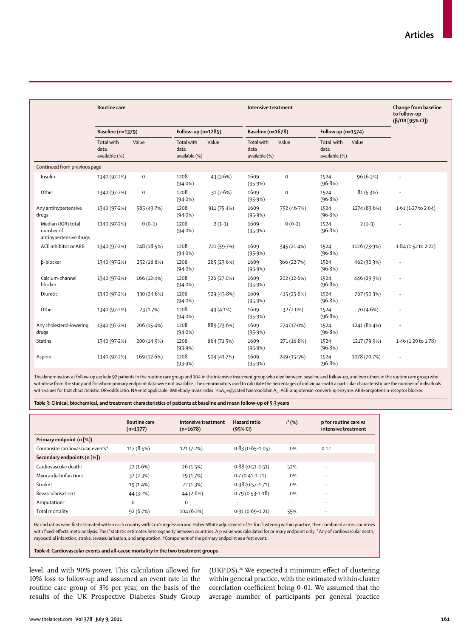|                                                           | <b>Routine care</b>                 |             |                                     |             | Intensive treatment                 |                     |                                     |              | Change from baseline<br>to follow-up<br>$(\beta/OR [95\% CI])$ |
|-----------------------------------------------------------|-------------------------------------|-------------|-------------------------------------|-------------|-------------------------------------|---------------------|-------------------------------------|--------------|----------------------------------------------------------------|
|                                                           | Baseline (n=1379)                   |             | Follow-up (n=1285)                  |             | Baseline (n=1678)                   |                     | Follow up (n=1574)                  |              |                                                                |
|                                                           | Total with<br>data<br>available (%) | Value       | Total with<br>data<br>available (%) | Value       | Total with<br>data<br>available (%) | Value               | Total with<br>data<br>available (%) | Value        |                                                                |
| Continued from previous page                              |                                     |             |                                     |             |                                     |                     |                                     |              |                                                                |
| Insulin                                                   | 1340 (97.2%)                        | 0           | 1208<br>$(94.0\%)$                  | 43(3.6%)    | 1609<br>(95.9%)                     | $\mathsf{O}\xspace$ | 1524<br>(96.8%)                     | 96(6.3%)     | $\ldots$                                                       |
| Other                                                     | 1340 (97-2%)                        | $\mathbf 0$ | 1208<br>$(94.0\%)$                  | 31(2.6%)    | 1609<br>(95.9%)                     | $\boldsymbol{0}$    | 1524<br>(96.8%)                     | 81(5.3%)     | $\ddotsc$                                                      |
| Any antihypertensive<br>drugs                             | 1340 (97.2%)                        | 585 (43.7%) | 1208<br>$(94.0\%)$                  | 911 (75.4%) | 1609<br>(95.9%)                     | 752 (46.7%)         | 1524<br>(96.8%)                     | 1274 (83.6%) | 1.61 (1.27 to 2.04)                                            |
| Median (IQR) total<br>number of<br>antihypertensive drugs | 1340 (97.2%)                        | $0(0-1)$    | 1208<br>$(94.0\%)$                  | $2(1-3)$    | 1609<br>(95.9%)                     | $0(0-2)$            | 1524<br>$(96.8\%)$                  | $2(1-3)$     | $\ddot{\phantom{a}}$                                           |
| ACE inhibitor or ARB                                      | 1340 (97.2%)                        | 248 (18.5%) | 1208<br>$(94.0\%)$                  | 721 (59.7%) | 1609<br>(95.9%)                     | 345 (21.4%)         | 1524<br>(96.8%)                     | 1126 (73.9%) | 1.84 (1.52 to 2.22)                                            |
| <b>ß-blocker</b>                                          | 1340 (97.2%)                        | 252 (18.8%) | 1208<br>$(94.0\%)$                  | 285 (23.6%) | 1609<br>(95.9%)                     | 366 (22.7%)         | 1524<br>(96.8%)                     | 462 (30.3%)  | $\ddotsc$                                                      |
| Calcium-channel<br>blocker                                | 1340 (97-2%)                        | 166(12.4%)  | 1208<br>$(94.0\%)$                  | 326 (27.0%) | 1609<br>(95.9%)                     | 202 (12.6%)         | 1524<br>(96.8%)                     | 446 (29.3%)  | $\ddotsc$                                                      |
| Diuretic                                                  | 1340 (97.2%)                        | 330 (24.6%) | 1208<br>$(94.0\%)$                  | 529 (43.8%) | 1609<br>(95.9%)                     | 415 (25.8%)         | 1524<br>(96.8%)                     | 767 (50.3%)  | $\ldots$                                                       |
| Other                                                     | 1340 (97.2%)                        | 23 (1.7%)   | 1208<br>$(94.0\%)$                  | 49 (4.1%)   | 1609<br>(95.9%)                     | $32(2.0\%)$         | 1524<br>(96.8%)                     | 70 (4.6%)    | $\ldots$                                                       |
| Any cholesterol-lowering<br>drugs                         | 1340 (97.2%)                        | 206 (15.4%) | 1208<br>$(94.0\%)$                  | 889 (73.6%) | 1609<br>(95.9%)                     | 274 (17.0%)         | 1524<br>(96.8%)                     | 1241 (81.4%) | $\ldots$                                                       |
| <b>Statins</b>                                            | 1340 (97.2%)                        | 200 (14.9%) | 1208<br>(93.9%)                     | 864 (71.5%) | 1609<br>(95.9%)                     | 271 (16.8%)         | 1524<br>(96.8%)                     | 1217 (79.9%) | 1.46 (1.20 to 1.78)                                            |
| Aspirin                                                   | 1340 (97.2%)                        | 169 (12.6%) | 1208<br>(93.9%)                     | 504 (41.7%) | 1609<br>(95.9%)                     | 249 (15.5%)         | 1524<br>(96.8%)                     | 1078 (70.7%) | $\ddot{\phantom{a}}$                                           |

The denominators at follow-up exclude 92 patients in the routine care group and 104 in the intensive treatment group who died between baseline and follow-up, and two others in the routine care group who withdrew from the study and for whom primary endpoint data were not available. The denominators used to calculate the percentages of individuals with a particular characteristic are the number of individuals with values for that characteristic. OR=odds ratio. NA=not applicable. BMI=body-mass index. HbA<sub>1c</sub>=glycated haemoglobin A<sub>1c</sub>. ACE-angiotensin-converting enzyme. ARB=angiotensin-receptor blocker.

*Table 3***: Clinical, biochemical, and treatment characteristics of patients at baseline and mean follow-up of 5·3 years**

|                                  | Routine care<br>$(n=1377)$ | Intensive treatment<br>$(n=1678)$ | Hazard ratio<br>(95% CI) | $I^2(% )$ | p for routine care vs<br>intensive treatment |
|----------------------------------|----------------------------|-----------------------------------|--------------------------|-----------|----------------------------------------------|
| Primary endpoint (n [%])         |                            |                                   |                          |           |                                              |
| Composite cardiovascular events* | 117 (8.5%)                 | 121(7.2%)                         | $0.83(0.65 - 1.05)$      | 0%        | 0.12                                         |
| Secondary endpoints (n [%])      |                            |                                   |                          |           |                                              |
| Cardiovascular death+            | 22(1.6%)                   | 26(1.5%)                          | $0.88(0.51 - 1.51)$      | 52%       | $\cdot$                                      |
| Myocardial infarction†           | 32(2.3%)                   | 29 (1.7%)                         | $0.7(0.41 - 1.21)$       | 0%        |                                              |
| Stroket                          | $19(1.4\%)$                | 22(1.3%)                          | $0.98(0.57 - 1.71)$      | 0%        | $\ddotsc$                                    |
| Revascularisation+               | 44 (3.2%)                  | 44(2.6%)                          | $0.79(0.53 - 1.18)$      | 0%        |                                              |
| Amputation <sup>+</sup>          | 0                          | $\mathbf 0$                       | $\cdot$                  |           |                                              |
| Total mortality                  | 92(6.7%)                   | 104(6.2%)                         | $0.91(0.69 - 1.21)$      | 55%       | $\cdot \cdot$                                |

Hazard ratios were first estimated within each country with Cox's regression and Huber-White adjustment of SE for clustering within practice, then combined across countries with fixed-effects meta-analysis. The *I<sup>2</sup>* statistic estimates heterogeneity between countries. A p value was calculated for primary endpoint only. \*Any of cardiovascular death, myocardial infarction, stroke, revascularisation, and amputation. †Component of the primary endpoint as a first event.

*Table 4***: Cardiovascular events and all-cause mortality in the two treatment groups**

level, and with 90% power. This calculation allowed for 10% loss to follow-up and assumed an event rate in the routine care group of 3% per year, on the basis of the results of the UK Prospective Diabetes Study Group (UKPDS).<sup>26</sup> We expected a minimum effect of clustering within general practice, with the estimated within-cluster correlation coefficient being  $0.01$ . We assumed that the average number of participants per general practice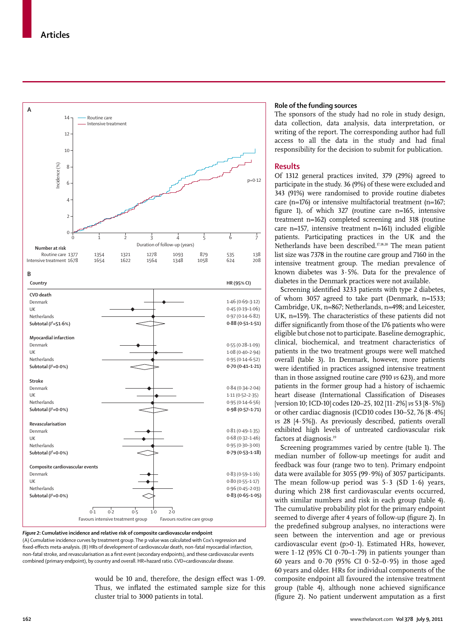

#### *Figure 2***: Cumulative incidence and relative risk of composite cardiovascular endpoint**

(A) Cumulative incidence curves by treatment group. The p value was calculated with Cox's regression and fixed-effects meta-analysis. (B) HRs of development of cardiovascular death, non-fatal myocardial infarction, non-fatal stroke, and revascularisation as a first event (secondary endpoints), and these cardiovascular events combined (primary endpoint), by country and overall. HR=hazard ratio. CVD=cardiovascular disease.

> would be 10 and, therefore, the design effect was  $1.09$ . Thus, we inflated the estimated sample size for this cluster trial to 3000 patients in total.

## **Role of the funding sources**

The sponsors of the study had no role in study design, data collection, data analysis, data interpretation, or writing of the report. The corresponding author had full access to all the data in the study and had final responsibility for the decision to submit for publication.

## **Results**

Of 1312 general practices invited, 379 (29%) agreed to participate in the study. 36 (9%) of these were excluded and 343 (91%) were randomised to provide routine diabetes care (n=176) or intensive multifactorial treatment (n=167; figure 1), of which  $327$  (routine care n=165, intensive treatment n=162) completed screening and 318 (routine care n=157, intensive treatment n=161) included eligible patients. Participating practices in the UK and the Netherlands have been described.17,18,20 The mean patient list size was 7378 in the routine care group and 7160 in the intensive treatment group. The median prevalence of known diabetes was 3·5%. Data for the prevalence of diabetes in the Denmark practices were not available.

Screening identified 3233 patients with type 2 diabetes, of whom 3057 agreed to take part (Denmark, n=1533; Cambridge, UK, n=867; Netherlands, n=498; and Leicester, UK, n=159). The characteristics of these patients did not differ significantly from those of the 176 patients who were eligible but chose not to participate. Baseline demographic, clinical, biochemical, and treatment characteristics of patients in the two treatment groups were well matched overall (table 3). In Denmark, however, more patients were identified in practices assigned intensive treatment than in those assigned routine care (910 *vs* 623), and more patients in the former group had a history of ischaemic heart disease (International Classification of Diseases [version 10; ICD-10] codes I20–25, 102 [11·2%] *vs* 53 [8·5%]) or other cardiac diagnosis (ICD10 codes I30–52, 76 [8·4%] *vs* 28 [4·5%]). As previously described, patients overall exhibited high levels of untreated cardiovascular risk factors at diagnosis.<sup>19</sup>

Screening programmes varied by centre (table 1). The median number of follow-up meetings for audit and feedback was four (range two to ten). Primary endpoint data were available for 3055 (99·9%) of 3057 participants. The mean follow-up period was  $5.3$  (SD  $1.6$ ) years, during which 238 first cardiovascular events occurred, with similar numbers and risk in each group (table 4). The cumulative probability plot for the primary endpoint seemed to diverge after 4 years of follow-up (figure 2). In the predefined subgroup analyses, no interactions were seen between the intervention and age or previous cardiovascular event  $(p>0.1)$ . Estimated HRs, however, were  $1.12$  (95% CI  $0.70-1.79$ ) in patients younger than 60 years and 0·70 (95% CI 0·52–0·95) in those aged 60 years and older. HRs for individual components of the composite endpoint all favoured the intensive treatment group (table 4), although none achieved significance (figure 2). No patient underwent amputation as a first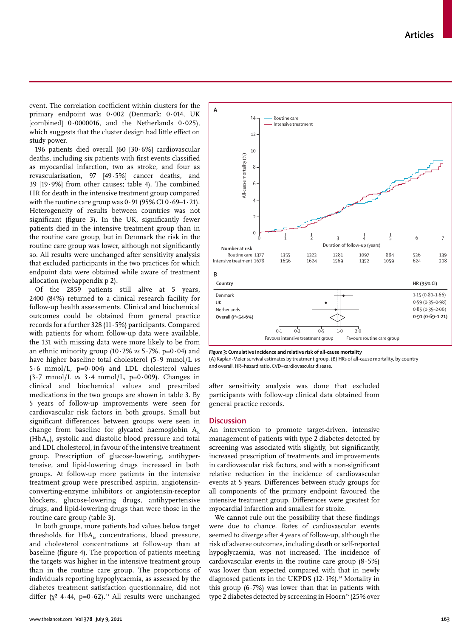www.thelancet.com **Vol 378 July 9, 2011** 163

event. The correlation coefficient within clusters for the primary endpoint was 0·002 (Denmark: 0·014, UK [combined] 0·0000016, and the Netherlands 0·025), which suggests that the cluster design had little effect on study power.

196 patients died overall (60 [30·6%] cardiovascular deaths, including six patients with first events classified as myocardial infarction, two as stroke, and four as revascularisation, 97 [49·5%] cancer deaths, and 39 [19·9%] from other causes; table 4). The combined HR for death in the intensive treatment group compared with the routine care group was  $0.91$  (95% CI  $0.69-1.21$ ). Heterogeneity of results between countries was not significant (figure 3). In the UK, significantly fewer patients died in the intensive treatment group than in the routine care group, but in Denmark the risk in the routine care group was lower, although not significantly so. All results were unchanged after sensitivity analysis that excluded participants in the two practices for which endpoint data were obtained while aware of treatment allocation (webappendix p 2).

Of the 2859 patients still alive at 5 years, 2400 (84%) returned to a clinical research facility for follow-up health assessments. Clinical and biochemical outcomes could be obtained from general practice records for a further 328 (11·5%) participants. Compared with patients for whom follow-up data were available, the 131 with missing data were more likely to be from an ethnic minority group  $(10.2\% \text{ vs } 5.7\%, \text{ p=0.04})$  and have higher baseline total cholesterol (5·9 mmol/L *vs* 5.6 mmol/L,  $p=0.004$ ) and LDL cholesterol values  $(3.7 \text{ mmol/L vs } 3.4 \text{ mmol/L, p=0.009}).$  Changes in clinical and biochemical values and prescribed medications in the two groups are shown in table 3. By 5 years of follow-up improvements were seen for cardiovascular risk factors in both groups. Small but significant differences between groups were seen in change from baseline for glycated haemoglobin  $A_{1c}$  $(HbA<sub>1</sub>)$ , systolic and diastolic blood pressure and total and LDL cholesterol, in favour of the intensive treatment group. Prescription of glucose-lowering, antihypertensive, and lipid-lowering drugs increased in both groups. At follow-up more patients in the intensive treatment group were prescribed aspirin, angiotensinconverting-enzyme inhibitors or angiotensin-receptor blockers, glucose-lowering drugs, antihypertensive drugs, and lipid-lowering drugs than were those in the routine care group (table 3).

In both groups, more patients had values below target thresholds for  $HbA<sub>1c</sub>$  concentrations, blood pressure, and cholesterol concentrations at follow-up than at baseline (figure 4). The proportion of patients meeting the targets was higher in the intensive treatment group than in the routine care group. The proportions of individuals reporting hypoglycaemia, as assessed by the diabetes treatment satisfaction questionnaire, did not differ ( $\chi^2$  4.44, p=0.62).<sup>33</sup> All results were unchanged



after sensitivity analysis was done that excluded participants with follow-up clinical data obtained from general practice records.

## **Discussion**

An intervention to promote target-driven, intensive management of patients with type 2 diabetes detected by screening was associated with slightly, but significantly, increased prescription of treatments and improvements in cardiovascular risk factors, and with a non-significant relative reduction in the incidence of cardiovascular events at 5 years. Differences between study groups for all components of the primary endpoint favoured the intensive treatment group. Differences were greatest for myocardial infarction and smallest for stroke.

We cannot rule out the possibility that these findings were due to chance. Rates of cardiovascular events seemed to diverge after 4 years of follow-up, although the risk of adverse outcomes, including death or self-reported hypoglycaemia, was not increased. The incidence of cardiovascular events in the routine care group  $(8.5\%)$ was lower than expected compared with that in newly diagnosed patients in the UKPDS  $(12.1\%)$ .<sup>34</sup> Mortality in this group  $(6.7%)$  was lower than that in patients with type 2 diabetes detected by screening in Hoorn<sup>35</sup> (25% over

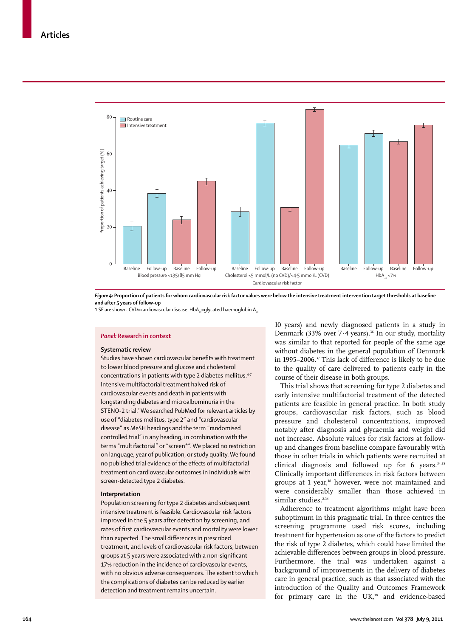

*Figure 4***: Proportion of patients for whom cardiovascular risk factor values were below the intensive treatment intervention target thresholds at baseline and after 5 years of follow-up**

1 SE are shown. CVD=cardiovascular disease.  $HbA<sub>1c</sub>=qlycated haemoglobin A<sub>1c</sub>$ .

## *Panel:* **Research in context**

#### **Systematic review**

Studies have shown cardiovascular benefits with treatment to lower blood pressure and glucose and cholesterol concentrations in patients with type 2 diabetes mellitus.<sup>4-7</sup> Intensive multifactorial treatment halved risk of cardiovascular events and death in patients with longstanding diabetes and microalbuminuria in the STENO-2 trial.2 We searched PubMed for relevant articles by use of "diabetes mellitus, type 2" and "cardiovascular disease" as MeSH headings and the term "randomised controlled trial" in any heading, in combination with the terms "multifactorial" or "screen\*". We placed no restriction on language, year of publication, or study quality. We found no published trial evidence of the effects of multifactorial treatment on cardiovascular outcomes in individuals with screen-detected type 2 diabetes.

#### **Interpretation**

Population screening for type 2 diabetes and subsequent intensive treatment is feasible. Cardiovascular risk factors improved in the 5 years after detection by screening, and rates of first cardiovascular events and mortality were lower than expected. The small differences in prescribed treatment, and levels of cardiovascular risk factors, between groups at 5 years were associated with a non-significant 17% reduction in the incidence of cardiovascular events, with no obvious adverse consequences. The extent to which the complications of diabetes can be reduced by earlier detection and treatment remains uncertain.

10 years) and newly diagnosed patients in a study in Denmark (33% over 7.4 years).<sup>36</sup> In our study, mortality was similar to that reported for people of the same age without diabetes in the general population of Denmark in 1995–2006.<sup>37</sup> This lack of difference is likely to be due to the quality of care delivered to patients early in the course of their disease in both groups.

This trial shows that screening for type 2 diabetes and early intensive multifactorial treatment of the detected patients are feasible in general practice. In both study groups, cardiovascular risk factors, such as blood pressure and cholesterol concentrations, improved notably after diagnosis and glycaemia and weight did not increase. Absolute values for risk factors at followup and changes from baseline compare favourably with those in other trials in which patients were recruited at clinical diagnosis and followed up for 6 years. $34,35$ Clinically important differences in risk factors between groups at 1 year,<sup>18</sup> however, were not maintained and were considerably smaller than those achieved in similar studies.<sup>2,34</sup>

Adherence to treatment algorithms might have been suboptimum in this pragmatic trial. In three centres the screening programme used risk scores, including treatment for hypertension as one of the factors to predict the risk of type 2 diabetes, which could have limited the achievable differences between groups in blood pressure. Furthermore, the trial was undertaken against a background of improvements in the delivery of diabetes care in general practice, such as that associated with the introduction of the Quality and Outcomes Framework for primary care in the  $UK$ <sup>38</sup> and evidence-based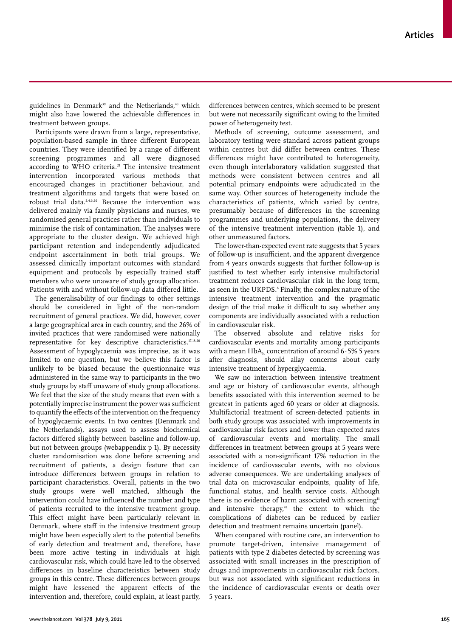guidelines in Denmark<sup>39</sup> and the Netherlands,<sup>40</sup> which might also have lowered the achievable differences in treatment between groups.

Participants were drawn from a large, representative, population-based sample in three different European countries. They were identified by a range of different screening programmes and all were diagnosed according to WHO criteria.<sup>21</sup> The intensive treatment intervention incorporated various methods that encouraged changes in practitioner behaviour, and treatment algorithms and targets that were based on robust trial data.2,4,6,26 Because the intervention was delivered mainly via family physicians and nurses, we randomised general practices rather than individuals to minimise the risk of contamination. The analyses were appropriate to the cluster design. We achieved high participant retention and independently adjudicated endpoint ascertainment in both trial groups. We assessed clinically important outcomes with standard equipment and protocols by especially trained staff members who were unaware of study group allocation. Patients with and without follow-up data differed little.

The generalisability of our findings to other settings should be considered in light of the non-random recruitment of general practices. We did, however, cover a large geographical area in each country, and the 26% of invited practices that were randomised were nationally representative for key descriptive characteristics.17,18,20 Assessment of hypoglycaemia was imprecise, as it was limited to one question, but we believe this factor is unlikely to be biased because the questionnaire was administered in the same way to participants in the two study groups by staff unaware of study group allocations. We feel that the size of the study means that even with a potentially imprecise instrument the power was sufficient to quantify the effects of the intervention on the frequency of hypoglycaemic events. In two centres (Denmark and the Netherlands), assays used to assess biochemical factors differed slightly between baseline and follow-up, but not between groups (webappendix p 1). By necessity cluster randomisation was done before screening and recruitment of patients, a design feature that can introduce differences between groups in relation to participant characteristics. Overall, patients in the two study groups were well matched, although the intervention could have influenced the number and type of patients recruited to the intensive treatment group. This effect might have been particularly relevant in Denmark, where staff in the intensive treatment group might have been especially alert to the potential benefits of early detection and treatment and, therefore, have been more active testing in individuals at high cardiovascular risk, which could have led to the observed differences in baseline characteristics between study groups in this centre. These differences between groups might have lessened the apparent effects of the intervention and, therefore, could explain, at least partly,

differences between centres, which seemed to be present but were not necessarily significant owing to the limited power of heterogeneity test.

Methods of screening, outcome assessment, and laboratory testing were standard across patient groups within centres but did differ between centres. These differences might have contributed to heterogeneity, even though interlaboratory validation suggested that methods were consistent between centres and all potential primary endpoints were adjudicated in the same way. Other sources of heterogeneity include the characteristics of patients, which varied by centre, presumably because of differences in the screening programmes and underlying populations, the delivery of the intensive treatment intervention (table 1), and other unmeasured factors.

The lower-than-expected event rate suggests that 5 years of follow-up is insufficient, and the apparent divergence from 4 years onwards suggests that further follow-up is justified to test whether early intensive multifactorial treatment reduces cardiovascular risk in the long term, as seen in the UKPDS.<sup>8</sup> Finally, the complex nature of the intensive treatment intervention and the pragmatic design of the trial make it difficult to say whether any components are individually associated with a reduction in cardiovascular risk.

The observed absolute and relative risks for cardiovascular events and mortality among participants with a mean  $HbA<sub>1c</sub>$  concentration of around 6.5% 5 years after diagnosis, should allay concerns about early intensive treatment of hyperglycaemia.

We saw no interaction between intensive treatment and age or history of cardiovascular events, although benefits associated with this intervention seemed to be greatest in patients aged 60 years or older at diagnosis. Multifactorial treatment of screen-detected patients in both study groups was associated with improvements in cardiovascular risk factors and lower than expected rates of cardiovascular events and mortality. The small differences in treatment between groups at 5 years were associated with a non-significant 17% reduction in the incidence of cardiovascular events, with no obvious adverse consequences. We are undertaking analyses of trial data on microvascular endpoints, quality of life, functional status, and health service costs. Although there is no evidence of harm associated with screening<sup>11</sup> and intensive therapy, $41$  the extent to which the complications of diabetes can be reduced by earlier detection and treatment remains uncertain (panel).

When compared with routine care, an intervention to promote target-driven, intensive management of patients with type 2 diabetes detected by screening was associated with small increases in the prescription of drugs and improvements in cardiovascular risk factors, but was not associated with significant reductions in the incidence of cardiovascular events or death over 5 years.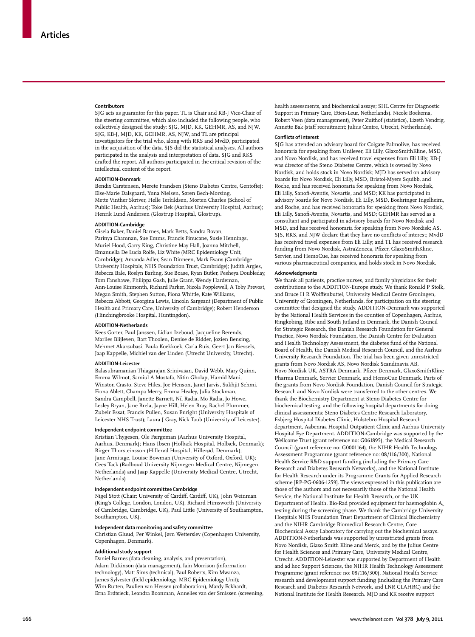#### **Contributors**

SJG acts as guarantor for this paper. TL is Chair and KB-J Vice-Chair of the steering committee, which also included the following people, who collectively designed the study: SJG, MJD, KK, GEHMR, AS, and NJW. SJG, KB-J, MJD, KK, GEHMR, AS, NJW, and TL are principal investigators for the trial who, along with RKS and MvdD, participated in the acquisition of the data. SJS did the statistical analyses. All authors participated in the analysis and interpretation of data. SJG and RKS drafted the report. All authors participated in the critical revision of the intellectual content of the report.

## **ADDITION-Denmark**

Bendix Carstensen, Merete Frandsen (Steno Diabetes Centre, Gentofte); Else-Marie Dalsgaard, Ynna Nielsen, Søren Bech-Morsing, Mette Vinther Skriver, Helle Terkildsen, Morten Charles (School of Public Health, Aarhus); Toke Bek (Aarhus University Hospital, Aarhus); Henrik Lund Andersen (Glostrup Hospital, Glostrup).

#### **ADDITION-Cambridge**

Gisela Baker, Daniel Barnes, Mark Betts, Sandra Bovan, Parinya Chamnan, Sue Emms, Francis Finucane, Susie Hennings, Muriel Hood, Garry King, Christine May Hall, Joanna Mitchell, Emanuella De Lucia Rolfe, Liz White (MRC Epidemiology Unit, Cambridge); Amanda Adler, Sean Dinneen, Mark Evans (Cambridge University Hospitals, NHS Foundation Trust, Cambridge); Judith Argles, Rebecca Bale, Roslyn Barling, Sue Boase, Ryan Butler, Pesheya Doubleday, Tom Fanshawe, Philippa Gash, Julie Grant, Wendy Hardeman, Ann-Louise Kinmonth, Richard Parker, Nicola Popplewell, A Toby Prevost, Megan Smith, Stephen Sutton, Fiona Whittle, Kate Williams, Rebecca Abbott, Georgina Lewis, Lincoln Sargeant (Department of Public Health and Primary Care, University of Cambridge); Robert Henderson (Hinchingbrooke Hospital, Huntingdon).

## **ADDITION-Netherlands**

Kees Gorter, Paul Janssen, Lidian Izeboud, Jacqueline Berends, Marlies Blijleven, Bart Thoolen, Denise de Ridder, Jozien Bensing, Mehmet Akarsubasi, Paula Koekkoek, Carla Ruis, Geert Jan Biessels, Jaap Kappelle, Michiel van der Linden (Utrecht University, Utrecht).

#### **ADDITION-Leicester**

Balasubramanian Thiagarajan Srinivasan, David Webb, Mary Quinn, Emma Wilmot, Samiul A Mostafa, Nitin Gholap, Hamid Mani, Winston Crasto, Steve Hiles, Joe Henson, Janet Jarvis, Sukhjit Sehmi, Fiona Ablett, Champa Merry, Emma Healey, Julia Stockman, Sandra Campbell, Janette Barnett, Nil Radia, Mo Radia, Jo Howe, Lesley Bryan, Jane Brela, Jayne Hill, Helen Bray, Rachel Plummer, Zubeir Essat, Francis Pullen, Susan Enright (University Hospitals of Leicester NHS Trust); Laura J Gray, Nick Taub (University of Leicester).

#### **Independent endpoint committee**

Kristian Thygesen, Ole Færgeman (Aarhus University Hospital, Aarhus, Denmark); Hans Ibsen (Holbæk Hospital, Holbæk, Denmark); Birger Thorsteinsson (Hillerød Hospital, Hillerød, Denmark); Jane Armitage, Louise Bowman (University of Oxford, Oxford, UK); Cees Tack (Radboud University Nijmegen Medical Centre, Nijmegen, Netherlands) and Jaap Kappelle (University Medical Centre, Utrecht, Netherlands)

#### **Independent endpoint committee Cambridge**

Nigel Stott (Chair; University of Cardiff, Cardiff, UK), John Weinman (King's College, London, London, UK), Richard Himsworth (University of Cambridge, Cambridge, UK), Paul Little (University of Southampton, Southampton, UK).

# **Independent data monitoring and safety committee**

Christian Gluud, Per Winkel, Jørn Wetterslev (Copenhagen University, Copenhagen, Denmark).

#### **Additional study support**

Daniel Barnes (data cleaning, analysis, and presentation), Adam Dickinson (data management), Iain Morrison (information technology), Matt Sims (technical), Paul Roberts, Kim Mwanza, James Sylvester (field epidemiology; MRC Epidemiology Unit); Wim Rutten, Paulien van Hessen (collaboration), Mardy Eckhardt, Erna Erdtsieck, Leandra Boonman, Annelies van der Smissen (screening, health assessments, and biochemical assays; SHL Centre for Diagnostic Support in Primary Care, Etten-Leur, Netherlands). Nicole Boekema, Robert Veen (data management), Peter Zuithof (statistics), Lizeth Vendrig, Annette Bak (staff recruitment; Julius Centre, Utrecht, Netherlands).

#### **Conflicts of interest**

SJG has attended an advisory board for Colgate Palmolive, has received honoraria for speaking from Unilever, Eli Lilly, GlaxoSmithKline, MSD, and Novo Nordisk, and has received travel expenses from Eli Lilly; KB-J was director of the Steno Diabetes Centre, which is owned by Novo Nordisk, and holds stock in Novo Nordisk; MJD has served on advisory boards for Novo Nordisk, Eli Lilly, MSD, Bristol-Myers Squibb, and Roche, and has received honoraria for speaking from Novo Nordisk, Eli Lilly, Sanofi -Aventis, Novartis, and MSD; KK has participated in advisory boards for Novo Nordisk, Eli Lilly, MSD, Boehringer Ingelheim, and Roche, and has received honoraria for speaking from Novo Nordisk, Eli Lilly, Sanofi -Aventis, Novartis, and MSD; GEHMR has served as a consultant and participated in advisory boards for Novo Nordisk and MSD, and has received honoraria for speaking from Novo Nordisk; AS, SJS, RKS, and NJW declare that they have no conflicts of interest; MvdD has received travel expenses from Eli Lilly; and TL has received research funding from Novo Nordisk, AstraZeneca, Pfizer, GlaxoSmithKline, Servier, and HemoCue, has received honoraria for speaking from various pharmaceutical companies, and holds stock in Novo Nordisk.

#### **Acknowledgments**

We thank all patients, practice nurses, and family physicians for their contributions to the ADDITION-Europe study. We thank Ronald P Stolk, and Bruce H R Wolffenbuttel, University Medical Centre Groningen, University of Groningen, Netherlands, for participation on the steering committee that designed the study. ADDITION-Denmark was supported by the National Health Services in the counties of Copenhagen, Aarhus, Ringkøbing, Ribe and South Jutland in Denmark, the Danish Council for Strategic Research, the Danish Research Foundation for General Practice, Novo Nordisk Foundation, the Danish Centre for Evaluation and Health Technology Assessment, the diabetes fund of the National Board of Health, the Danish Medical Research Council, and the Aarhus University Research Foundation. The trial has been given unrestricted grants from Novo Nordisk AS, Novo Nordisk Scandinavia AB, Novo Nordisk UK, ASTRA Denmark, Pfizer Denmark, GlaxoSmithKline Pharma Denmark, Servier Denmark, and HemoCue Denmark. Parts of the grants from Novo Nordisk Foundation, Danish Council for Strategic Research and Novo Nordisk were transferred to the other centres. We thank the Biochemistry Department at Steno Diabetes Centre for biochemical testing, and the following hospital departments for doing clinical assessments: Steno Diabetes Centre Research Laboratory, Esbjerg Hospital Diabetes Clinic, Holstebro Hospital Research department, Aabenraa Hospital Outpatient Clinic and Aarhus University Hospital Eye Department. ADDITION-Cambridge was supported by the Wellcome Trust (grant reference no: G061895), the Medical Research Council (grant reference no: G0001164), the NIHR Health Technology Assessment Programme (grant reference no: 08/116/300), National Health Service R&D support funding (including the Primary Care Research and Diabetes Research Networks), and the National Institute for Health Research under its Programme Grants for Applied Research scheme [RP-PG-0606-1259]. The views expressed in this publication are those of the authors and not necessarily those of the National Health Service, the National Institute for Health Research, or the UK Department of Health. Bio-Rad provided equipment for haemoglobin  $A_{1c}$ testing during the screening phase. We thank the Cambridge University Hospitals NHS Foundation Trust Department of Clinical Biochemistry and the NIHR Cambridge Biomedical Research Centre, Core Biochemical Assay Laboratory for carrying out the biochemical assays. ADDITION-Netherlands was supported by unrestricted grants from Novo Nordisk, Glaxo Smith Kline and Merck, and by the Julius Centre for Health Sciences and Primary Care, University Medical Centre, Utrecht. ADDITION-Leicester was supported by Department of Health and ad hoc Support Sciences, the NIHR Health Technology Assessment Programme (grant reference no: 08/116/300), National Health Service research and development support funding (including the Primary Care Research and Diabetes Research Network, and LNR CLAHRC) and the National Institute for Health Research. MJD and KK receive support